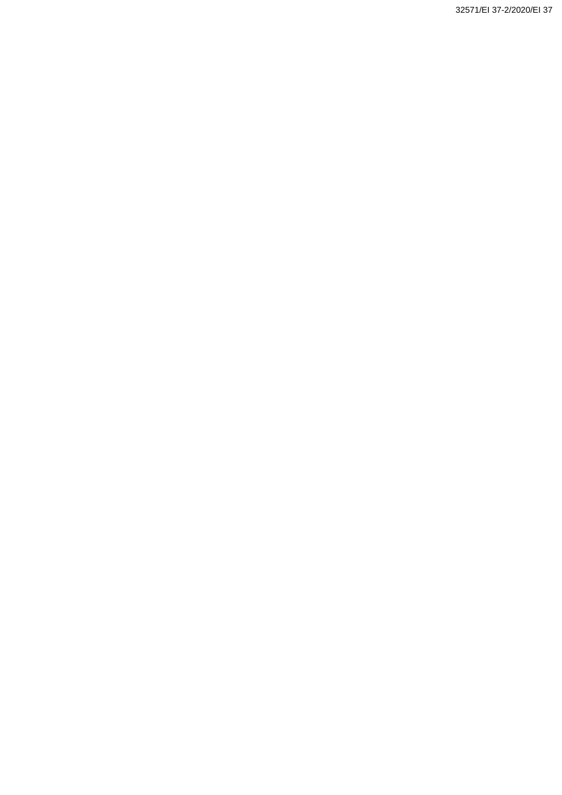32571/EI 37-2/2020/EI 37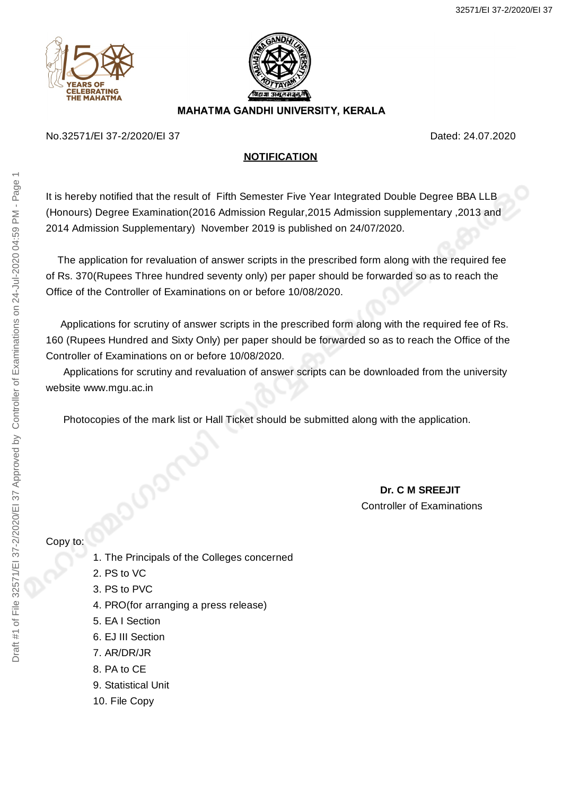



#### **MAHATMA GANDHI UNIVERSITY, KERALA**

No.32571/EI 37-2/2020/EI 37 Dated: 24.07.2020

#### **NOTIFICATION**

It is hereby notified that the result of Fifth Semester Five Year Integrated Double Degree BBA LLB (Honours) Degree Examination(2016 Admission Regular,2015 Admission supplementary ,2013 and 2014 Admission Supplementary) November 2019 is published on 24/07/2020.

The application for revaluation of answer scripts in the prescribed form along with the required fee of Rs. 370(Rupees Three hundred seventy only) per paper should be forwarded so as to reach the Office of the Controller of Examinations on or before 10/08/2020.

Applications for scrutiny of answer scripts in the prescribed form along with the required fee of Rs. 160 (Rupees Hundred and Sixty Only) per paper should be forwarded so as to reach the Office of the Controller of Examinations on or before 10/08/2020.

Applications for scrutiny and revaluation of answer scripts can be downloaded from the university website www.mgu.ac.in

Photocopies of the mark list or Hall Ticket should be submitted along with the application.

**Dr. C M SREEJIT** Controller of Examinations

Copy to:

- 1. The Principals of the Colleges concerned
	- 2. PS to VC
	- 3. PS to PVC
	- 4. PRO(for arranging a press release)
	- 5. EA I Section
	- 6. EJ III Section
	- 7. AR/DR/JR
	- 8. PA to CE
	- 9. Statistical Unit
	- 10. File Copy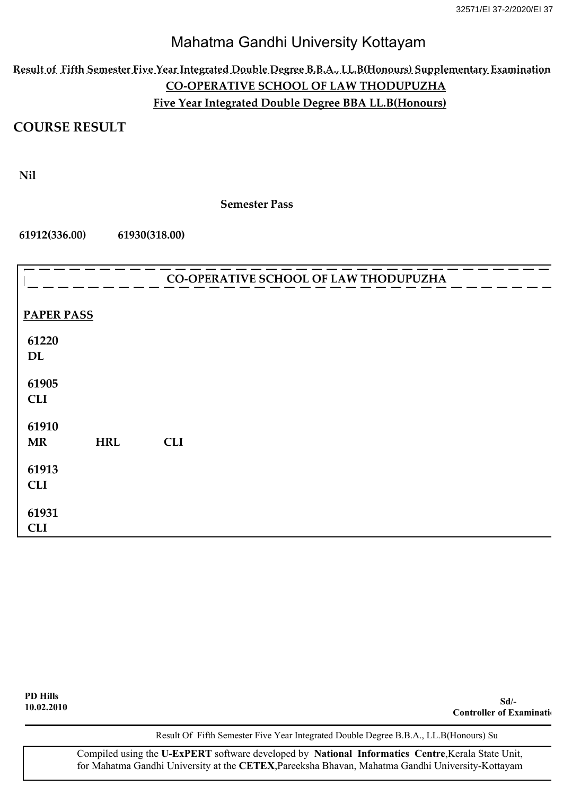### Result of Fifth Semester Five Year Integrated Double Degree B.B.A., LL.B(Honours) Supplementary Examination **CO-OPERATIVE SCHOOL OF LAW THODUPUZHA Five Year Integrated Double Degree BBA LL.B(Honours)**

## **COURSE RESULT**

**Nil**

 **Semester Pass**

**61912(336.00) 61930(318.00)**

| CO-OPERATIVE SCHOOL OF LAW THODUPUZHA |            |            |  |
|---------------------------------------|------------|------------|--|
| <b>PAPER PASS</b>                     |            |            |  |
| 61220<br>DL                           |            |            |  |
| 61905<br><b>CLI</b>                   |            |            |  |
| 61910<br><b>MR</b>                    | <b>HRL</b> | <b>CLI</b> |  |
| 61913<br><b>CLI</b>                   |            |            |  |
| 61931<br><b>CLI</b>                   |            |            |  |

**PD Hills**

**10.02.2010 Sd/- Controller of Examinations** 

Result Of Fifth Semester Five Year Integrated Double Degree B.B.A., LL.B(Honours) Su 1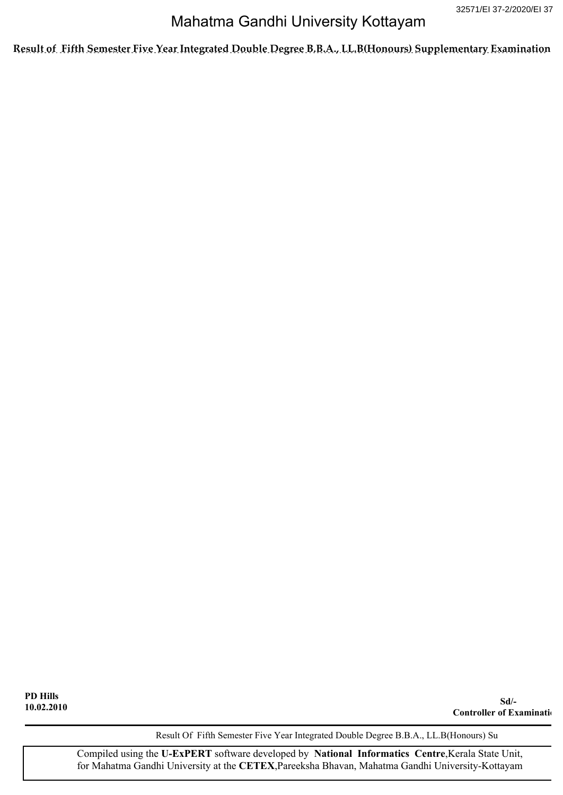Result of Fifth Semester Five Year Integrated Double Degree B.B.A., LL.B(Honours) Supplementary Examination

**PD Hills**

**10.02.2010 Sd/- Controller of Examinations** 

Result Of Fifth Semester Five Year Integrated Double Degree B.B.A., LL.B(Honours) Su 2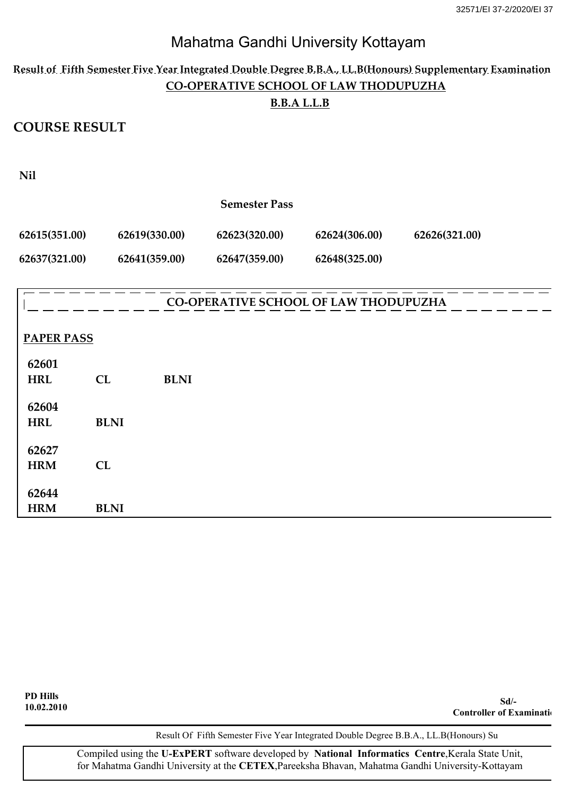### Result of Fifth Semester Five Year Integrated Double Degree B.B.A., LL.B(Honours) Supplementary Examination **CO-OPERATIVE SCHOOL OF LAW THODUPUZHA**

### **B.B.A L.L.B**

### **COURSE RESULT**

**Nil**

|               |               | <b>Semester Pass</b> |               |               |
|---------------|---------------|----------------------|---------------|---------------|
| 62615(351.00) | 62619(330.00) | 62623(320.00)        | 62624(306.00) | 62626(321.00) |
| 62637(321.00) | 62641(359.00) | 62647(359.00)        | 62648(325.00) |               |

|                     |             | CO-OPERATIVE SCHOOL OF LAW THODUPUZHA |
|---------------------|-------------|---------------------------------------|
| <b>PAPER PASS</b>   |             |                                       |
| 62601<br><b>HRL</b> | <b>CL</b>   | <b>BLNI</b>                           |
| 62604<br><b>HRL</b> | <b>BLNI</b> |                                       |
| 62627<br><b>HRM</b> | CL          |                                       |
| 62644<br><b>HRM</b> | <b>BLNI</b> |                                       |

**PD Hills**

**10.02.2010 Sd/- Controller of Examinations** 

Result Of Fifth Semester Five Year Integrated Double Degree B.B.A., LL.B(Honours) Su 1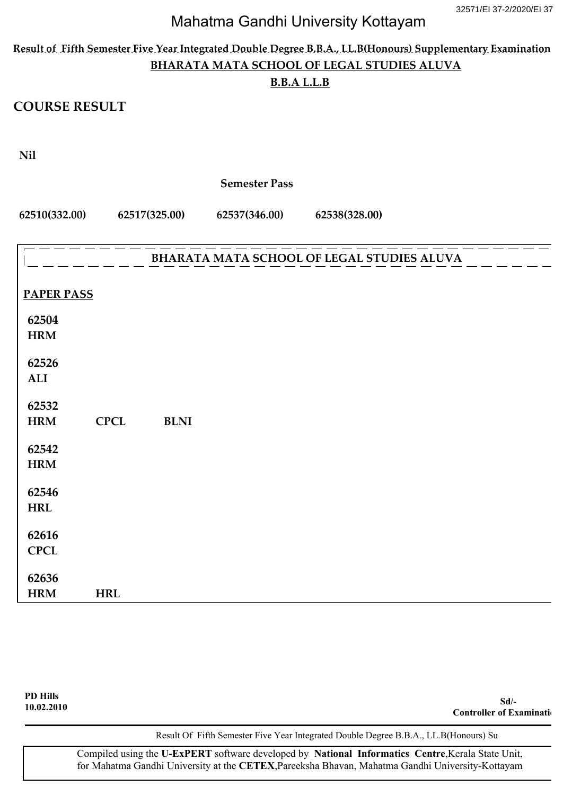Result of Fifth Semester Five Year Integrated Double Degree B.B.A., LL.B(Honours) Supplementary Examination **BHARATA MATA SCHOOL OF LEGAL STUDIES ALUVA**

#### **B.B.A L.L.B**

## **COURSE RESULT**

**Nil**

#### **Semester Pass**

**62510(332.00) 62517(325.00) 62537(346.00) 62538(328.00)**

|                      |             | BHARATA MATA SCHOOL OF LEGAL STUDIES ALUVA |
|----------------------|-------------|--------------------------------------------|
| <b>PAPER PASS</b>    |             |                                            |
| 62504<br><b>HRM</b>  |             |                                            |
| 62526<br><b>ALI</b>  |             |                                            |
| 62532<br><b>HRM</b>  | <b>CPCL</b> | <b>BLNI</b>                                |
| 62542<br><b>HRM</b>  |             |                                            |
| 62546<br><b>HRL</b>  |             |                                            |
| 62616<br><b>CPCL</b> |             |                                            |
| 62636<br><b>HRM</b>  | <b>HRL</b>  |                                            |

**PD Hills**

**10.02.2010 Sd/- Controller of Examinations** 

Result Of Fifth Semester Five Year Integrated Double Degree B.B.A., LL.B(Honours) Su 2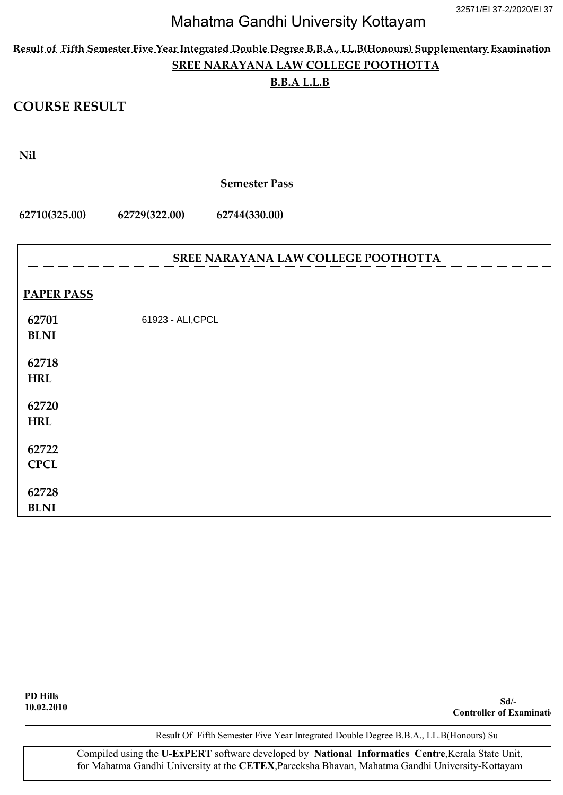Result of Fifth Semester Five Year Integrated Double Degree B.B.A., LL.B(Honours) Supplementary Examination **SREE NARAYANA LAW COLLEGE POOTHOTTA**

#### **B.B.A L.L.B**

### **COURSE RESULT**

**Nil**

#### **Semester Pass**

**62710(325.00) 62729(322.00) 62744(330.00)**

### **SREE NARAYANA LAW COLLEGE POOTHOTTA**

| <b>PAPER PASS</b>    |                   |
|----------------------|-------------------|
| 62701<br><b>BLNI</b> | 61923 - ALI, CPCL |
| 62718<br><b>HRL</b>  |                   |
| 62720<br><b>HRL</b>  |                   |
| 62722<br><b>CPCL</b> |                   |
| 62728<br><b>BLNI</b> |                   |

**PD Hills**

**10.02.2010 Sd/- Controller of Examinations** 

Result Of Fifth Semester Five Year Integrated Double Degree B.B.A., LL.B(Honours) Su 3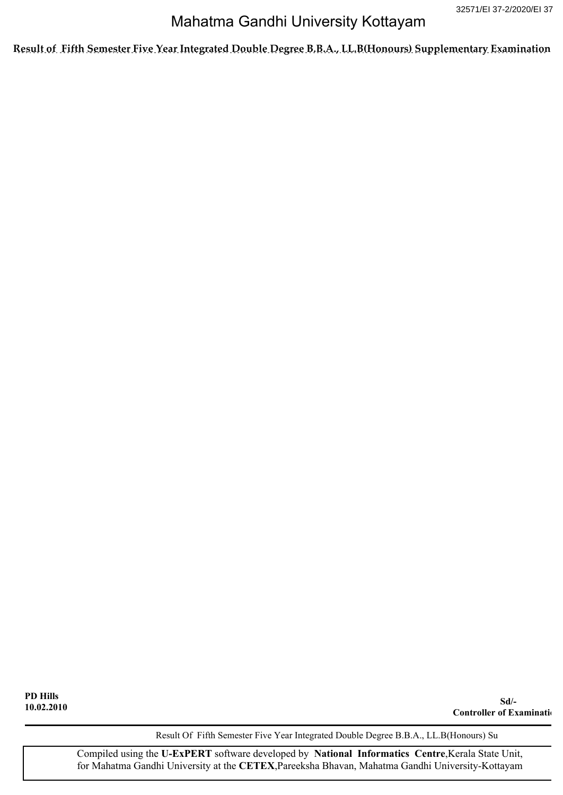Result of Fifth Semester Five Year Integrated Double Degree B.B.A., LL.B(Honours) Supplementary Examination

**PD Hills**

**10.02.2010 Sd/- Controller of Examinations** 

Result Of Fifth Semester Five Year Integrated Double Degree B.B.A., LL.B(Honours) Su 4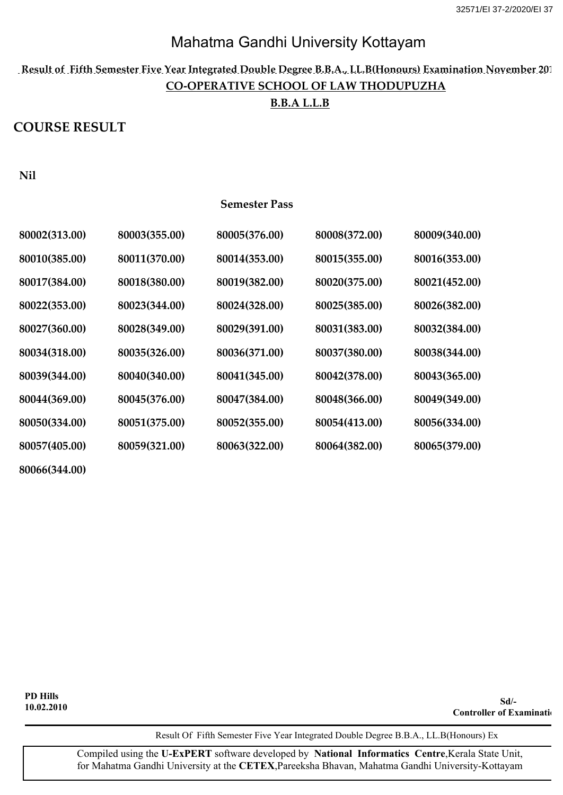### **Result of Fifth Semester Five Year Integrated Double Degree B.B.A., LL.B(Honours) Examination November 2019 CO-OPERATIVE SCHOOL OF LAW THODUPUZHA**

#### **B.B.A L.L.B**

### **COURSE RESULT**

**Nil**

|               |               | <b>Semester Pass</b> |               |               |
|---------------|---------------|----------------------|---------------|---------------|
| 80002(313.00) | 80003(355.00) | 80005(376.00)        | 80008(372.00) | 80009(340.00) |
| 80010(385.00) | 80011(370.00) | 80014(353.00)        | 80015(355.00) | 80016(353.00) |
| 80017(384.00) | 80018(380.00) | 80019(382.00)        | 80020(375.00) | 80021(452.00) |
| 80022(353.00) | 80023(344.00) | 80024(328.00)        | 80025(385.00) | 80026(382.00) |
| 80027(360.00) | 80028(349.00) | 80029(391.00)        | 80031(383.00) | 80032(384.00) |
| 80034(318.00) | 80035(326.00) | 80036(371.00)        | 80037(380.00) | 80038(344.00) |
| 80039(344.00) | 80040(340.00) | 80041(345.00)        | 80042(378.00) | 80043(365.00) |
| 80044(369.00) | 80045(376.00) | 80047(384.00)        | 80048(366.00) | 80049(349.00) |
| 80050(334.00) | 80051(375.00) | 80052(355.00)        | 80054(413.00) | 80056(334.00) |
| 80057(405.00) | 80059(321.00) | 80063(322.00)        | 80064(382.00) | 80065(379.00) |

**80066(344.00)**

**PD Hills**

**10.02.2010 Sd/- Controller of Examinations** 

Result Of Fifth Semester Five Year Integrated Double Degree B.B.A., LL.B(Honours) Ex 1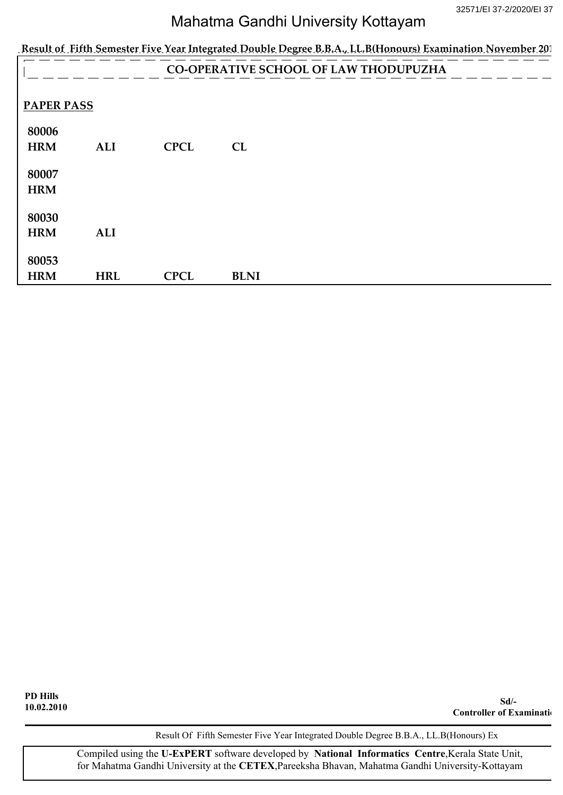|                   |            |             | Result of Fifth Semester Five Year Integrated Double Degree B.B.A., LL.B(Honours) Examination November 201 |
|-------------------|------------|-------------|------------------------------------------------------------------------------------------------------------|
|                   |            |             | CO-OPERATIVE SCHOOL OF LAW THODUPUZHA                                                                      |
| <b>PAPER PASS</b> |            |             |                                                                                                            |
| 80006             |            |             |                                                                                                            |
| <b>HRM</b>        | <b>ALI</b> | <b>CPCL</b> | <b>CL</b>                                                                                                  |
| 80007             |            |             |                                                                                                            |
| <b>HRM</b>        |            |             |                                                                                                            |
|                   |            |             |                                                                                                            |
| 80030             |            |             |                                                                                                            |
| <b>HRM</b>        | <b>ALI</b> |             |                                                                                                            |
| 80053             |            |             |                                                                                                            |
| <b>HRM</b>        | <b>HRL</b> | <b>CPCL</b> | <b>BLNI</b>                                                                                                |

**PD Hills**

**10.02.2010 Sd/- Controller of Examinations** 

Result Of Fifth Semester Five Year Integrated Double Degree B.B.A., LL.B(Honours) Ex 2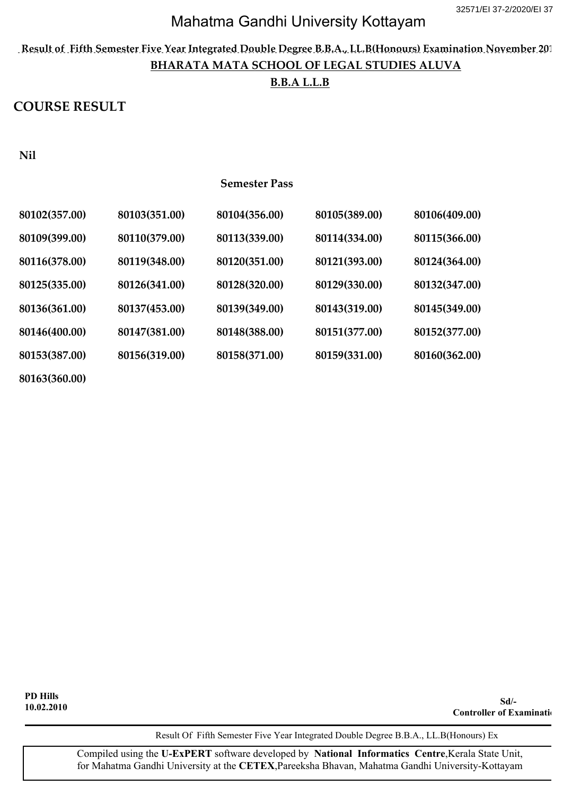### **Result of Fifth Semester Five Year Integrated Double Degree B.B.A., LL.B(Honours) Examination November 2019 BHARATA MATA SCHOOL OF LEGAL STUDIES ALUVA**

#### **B.B.A L.L.B**

## **COURSE RESULT**

**Nil**

|               |               | <b>Semester Pass</b> |               |               |
|---------------|---------------|----------------------|---------------|---------------|
| 80102(357.00) | 80103(351.00) | 80104(356.00)        | 80105(389.00) | 80106(409.00) |
| 80109(399.00) | 80110(379.00) | 80113(339.00)        | 80114(334.00) | 80115(366.00) |
| 80116(378.00) | 80119(348.00) | 80120(351.00)        | 80121(393.00) | 80124(364.00) |
| 80125(335.00) | 80126(341.00) | 80128(320.00)        | 80129(330.00) | 80132(347.00) |
| 80136(361.00) | 80137(453.00) | 80139(349.00)        | 80143(319.00) | 80145(349.00) |
| 80146(400.00) | 80147(381.00) | 80148(388.00)        | 80151(377.00) | 80152(377.00) |
| 80153(387.00) | 80156(319.00) | 80158(371.00)        | 80159(331.00) | 80160(362.00) |
| 80163(360.00) |               |                      |               |               |

**PD Hills**

**10.02.2010 Sd/- Controller of Examinations** 

Result Of Fifth Semester Five Year Integrated Double Degree B.B.A., LL.B(Honours) Ex 3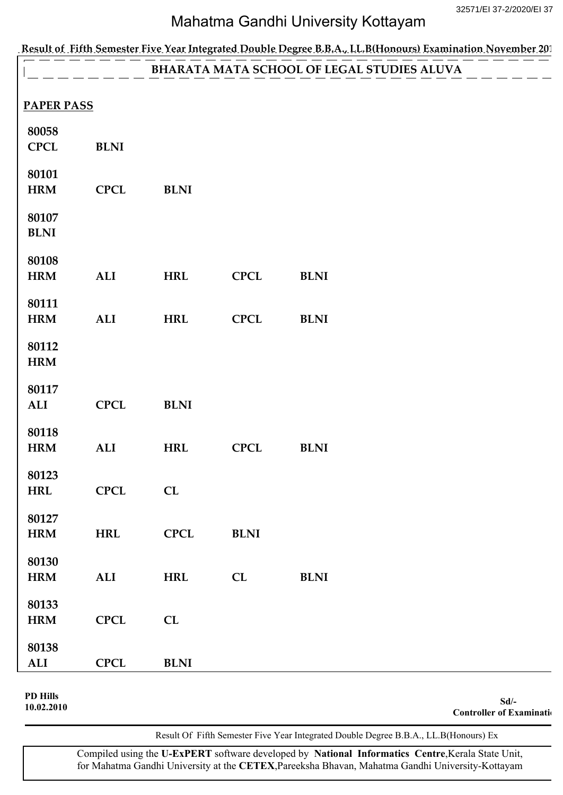**Result of Fifth Semester Five Year Integrated Double Degree B.B.A., LL.B(Honours) Examination November 2019 BHARATA MATA SCHOOL OF LEGAL STUDIES ALUVA PAPER PASS 80058 CPCL BLNI 80101 HRM CPCL BLNI 80107 BLNI 80108 HRM ALI HRL CPCL BLNI 80111 HRM ALI HRL CPCL BLNI 80112 HRM 80117 ALI CPCL BLNI 80118 HRM ALI HRL CPCL BLNI 80123 HRL CPCL CL 80127 HRM HRL CPCL BLNI 80130 HRM ALI HRL CL BLNI 80133 HRM CPCL CL 80138 ALI CPCL BLNI PD Hills 10.02.2010 Sd/-**

**Controller of Examinations** 

Result Of Fifth Semester Five Year Integrated Double Degree B.B.A., LL.B(Honours) Ex 4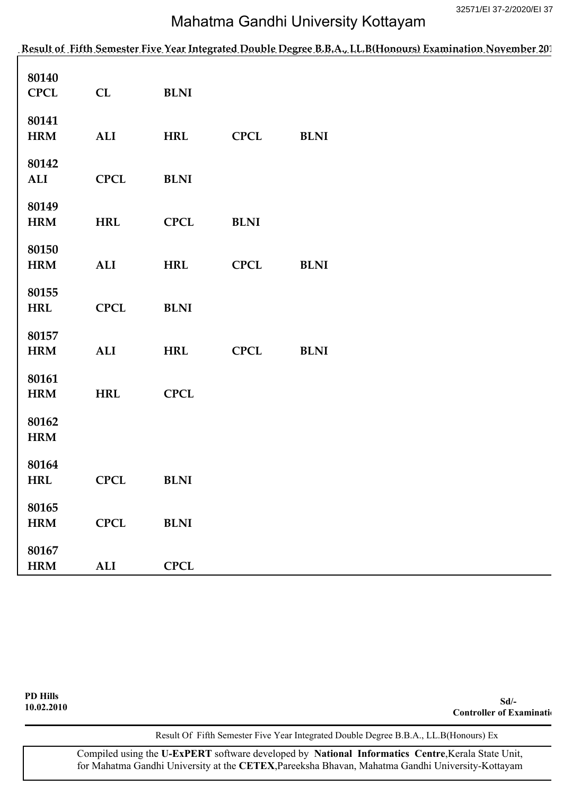**Result of Fifth Semester Five Year Integrated Double Degree B.B.A., LL.B(Honours) Examination November 2019**

| 80140               |             |             |             |             |
|---------------------|-------------|-------------|-------------|-------------|
| <b>CPCL</b>         | CL          | <b>BLNI</b> |             |             |
|                     |             |             |             |             |
| 80141<br><b>HRM</b> | <b>ALI</b>  | <b>HRL</b>  | <b>CPCL</b> | <b>BLNI</b> |
|                     |             |             |             |             |
| 80142               |             |             |             |             |
| <b>ALI</b>          | <b>CPCL</b> | <b>BLNI</b> |             |             |
|                     |             |             |             |             |
| 80149<br><b>HRM</b> | <b>HRL</b>  | <b>CPCL</b> | <b>BLNI</b> |             |
|                     |             |             |             |             |
| 80150               |             |             |             |             |
| <b>HRM</b>          | <b>ALI</b>  | <b>HRL</b>  | <b>CPCL</b> | <b>BLNI</b> |
| 80155               |             |             |             |             |
| <b>HRL</b>          | <b>CPCL</b> | <b>BLNI</b> |             |             |
|                     |             |             |             |             |
| 80157               |             |             |             |             |
| <b>HRM</b>          | <b>ALI</b>  | <b>HRL</b>  | <b>CPCL</b> | <b>BLNI</b> |
| 80161               |             |             |             |             |
| <b>HRM</b>          | <b>HRL</b>  | <b>CPCL</b> |             |             |
|                     |             |             |             |             |
| 80162               |             |             |             |             |
| <b>HRM</b>          |             |             |             |             |
| 80164               |             |             |             |             |
| <b>HRL</b>          | <b>CPCL</b> | <b>BLNI</b> |             |             |
|                     |             |             |             |             |
| 80165               |             |             |             |             |
| <b>HRM</b>          | <b>CPCL</b> | <b>BLNI</b> |             |             |
| 80167               |             |             |             |             |
| <b>HRM</b>          | <b>ALI</b>  | <b>CPCL</b> |             |             |
|                     |             |             |             |             |

**PD Hills**

**10.02.2010 Sd/- Controller of Examinations** 

Result Of Fifth Semester Five Year Integrated Double Degree B.B.A., LL.B(Honours) Ex 5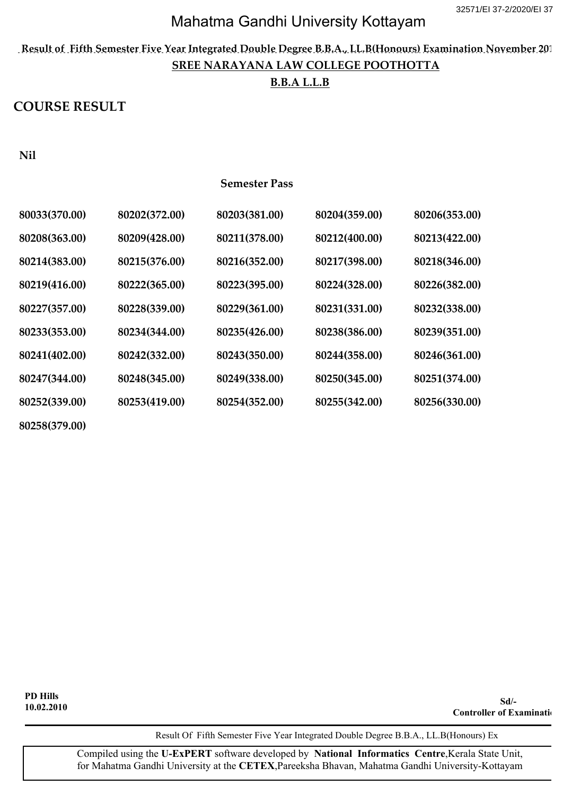### **Result of Fifth Semester Five Year Integrated Double Degree B.B.A., LL.B(Honours) Examination November 2019 SREE NARAYANA LAW COLLEGE POOTHOTTA**

#### **B.B.A L.L.B**

## **COURSE RESULT**

**Nil**

|               |               | <b>Semester Pass</b> |               |               |
|---------------|---------------|----------------------|---------------|---------------|
| 80033(370.00) | 80202(372.00) | 80203(381.00)        | 80204(359.00) | 80206(353.00) |
| 80208(363.00) | 80209(428.00) | 80211(378.00)        | 80212(400.00) | 80213(422.00) |
| 80214(383.00) | 80215(376.00) | 80216(352.00)        | 80217(398.00) | 80218(346.00) |
| 80219(416.00) | 80222(365.00) | 80223(395.00)        | 80224(328.00) | 80226(382.00) |
| 80227(357.00) | 80228(339.00) | 80229(361.00)        | 80231(331.00) | 80232(338.00) |
| 80233(353.00) | 80234(344.00) | 80235(426.00)        | 80238(386.00) | 80239(351.00) |
| 80241(402.00) | 80242(332.00) | 80243(350.00)        | 80244(358.00) | 80246(361.00) |
| 80247(344.00) | 80248(345.00) | 80249(338.00)        | 80250(345.00) | 80251(374.00) |
| 80252(339.00) | 80253(419.00) | 80254(352.00)        | 80255(342.00) | 80256(330.00) |
| 80258(379.00) |               |                      |               |               |

**PD Hills**

**10.02.2010 Sd/- Controller of Examinations** 

Result Of Fifth Semester Five Year Integrated Double Degree B.B.A., LL.B(Honours) Ex 6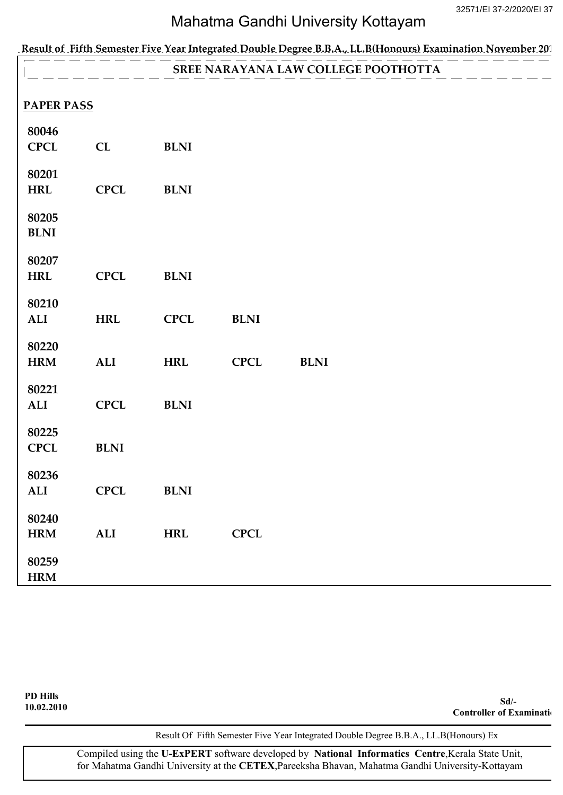|                      |                                     |             |             | Result of Fifth Semester Five Year Integrated Double Degree B.B.A., LL.B(Honours) Examination November 201 |
|----------------------|-------------------------------------|-------------|-------------|------------------------------------------------------------------------------------------------------------|
|                      | SREE NARAYANA LAW COLLEGE POOTHOTTA |             |             |                                                                                                            |
| <b>PAPER PASS</b>    |                                     |             |             |                                                                                                            |
| 80046                |                                     |             |             |                                                                                                            |
| <b>CPCL</b>          | CL                                  | <b>BLNI</b> |             |                                                                                                            |
| 80201                |                                     |             |             |                                                                                                            |
| <b>HRL</b>           | <b>CPCL</b>                         | <b>BLNI</b> |             |                                                                                                            |
| 80205                |                                     |             |             |                                                                                                            |
| <b>BLNI</b>          |                                     |             |             |                                                                                                            |
| 80207                |                                     |             |             |                                                                                                            |
| <b>HRL</b>           | <b>CPCL</b>                         | <b>BLNI</b> |             |                                                                                                            |
| 80210                |                                     |             |             |                                                                                                            |
| <b>ALI</b>           | <b>HRL</b>                          | <b>CPCL</b> | <b>BLNI</b> |                                                                                                            |
| 80220                |                                     |             |             |                                                                                                            |
| <b>HRM</b>           | <b>ALI</b>                          | <b>HRL</b>  | <b>CPCL</b> | <b>BLNI</b>                                                                                                |
|                      |                                     |             |             |                                                                                                            |
| 80221<br><b>ALI</b>  | <b>CPCL</b>                         | <b>BLNI</b> |             |                                                                                                            |
|                      |                                     |             |             |                                                                                                            |
| 80225<br><b>CPCL</b> | <b>BLNI</b>                         |             |             |                                                                                                            |
|                      |                                     |             |             |                                                                                                            |
| 80236                |                                     |             |             |                                                                                                            |
| $\mathbf{ALI}$       | <b>CPCL</b>                         | <b>BLNI</b> |             |                                                                                                            |
| 80240                |                                     |             |             |                                                                                                            |
| <b>HRM</b>           | ALI                                 | <b>HRL</b>  | <b>CPCL</b> |                                                                                                            |
| 80259                |                                     |             |             |                                                                                                            |
| $\mathbf{HRM}$       |                                     |             |             |                                                                                                            |

**PD Hills**

**10.02.2010 Sd/- Controller of Examinations** 

Result Of Fifth Semester Five Year Integrated Double Degree B.B.A., LL.B(Honours) Ex 7